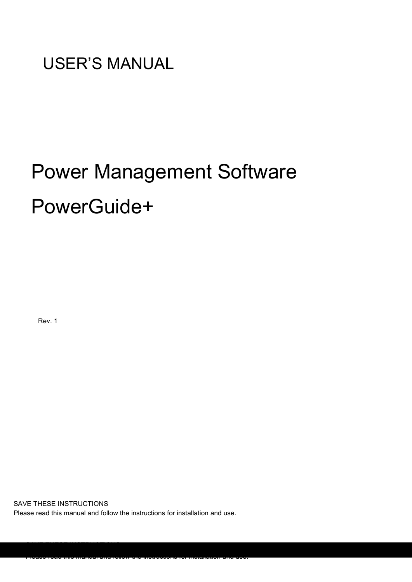USER'S MANUAL

# Power Management Software PowerGuide+

Rev. 1

SAVE THESE INSTRUCTIONS

Please read this manual and follow the instructions for installation and use.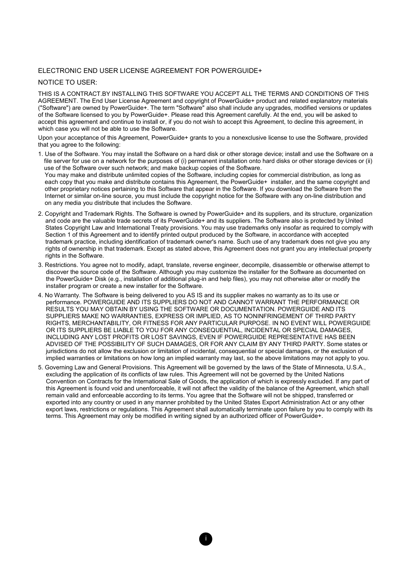#### ELECTRONIC END USER LICENSE AGREEMENT FOR POWERGUIDE+

#### NOTICE TO USER:

THIS IS A CONTRACT.BY INSTALLING THIS SOFTWARE YOU ACCEPT ALL THE TERMS AND CONDITIONS OF THIS AGREEMENT. The End User License Agreement and copyright of PowerGuide+ product and related explanatory materials ("Software") are owned by PowerGuide+. The term "Software" also shall include any upgrades, modified versions or updates of the Software licensed to you by PowerGuide+. Please read this Agreement carefully. At the end, you will be asked to accept this agreement and continue to install or, if you do not wish to accept this Agreement, to decline this agreement, in which case you will not be able to use the Software.

Upon your acceptance of this Agreement, PowerGuide+ grants to you a nonexclusive license to use the Software, provided that you agree to the following:

- 1. Use of the Software. You may install the Software on a hard disk or other storage device; install and use the Software on a file server for use on a network for the purposes of (i) permanent installation onto hard disks or other storage devices or (ii) use of the Software over such network; and make backup copies of the Software. You may make and distribute unlimited copies of the Software, including copies for commercial distribution, as long as each copy that you make and distribute contains this Agreement, the PowerGuide+ installer, and the same copyright and other proprietary notices pertaining to this Software that appear in the Software. If you download the Software from the Internet or similar on-line source, you must include the copyright notice for the Software with any on-line distribution and on any media you distribute that includes the Software.
- 2. Copyright and Trademark Rights. The Software is owned by PowerGuide+ and its suppliers, and its structure, organization and code are the valuable trade secrets of its PowerGuide+ and its suppliers. The Software also is protected by United States Copyright Law and International Treaty provisions. You may use trademarks only insofar as required to comply with Section 1 of this Agreement and to identify printed output produced by the Software, in accordance with accepted trademark practice, including identification of trademark owner's name. Such use of any trademark does not give you any rights of ownership in that trademark. Except as stated above, this Agreement does not grant you any intellectual property rights in the Software.
- 3. Restrictions. You agree not to modify, adapt, translate, reverse engineer, decompile, disassemble or otherwise attempt to discover the source code of the Software. Although you may customize the installer for the Software as documented on the PowerGuide+ Disk (e.g., installation of additional plug-in and help files), you may not otherwise alter or modify the installer program or create a new installer for the Software.
- 4. No Warranty. The Software is being delivered to you AS IS and its supplier makes no warranty as to its use or performance. POWERGUIDE AND ITS SUPPLIERS DO NOT AND CANNOT WARRANT THE PERFORMANCE OR RESULTS YOU MAY OBTAIN BY USING THE SOFTWARE OR DOCUMENTATION. POWERGUIDE AND ITS SUPPLIERS MAKE NO WARRANTIES, EXPRESS OR IMPLIED, AS TO NONINFRINGEMENT OF THIRD PARTY RIGHTS, MERCHANTABILITY, OR FITNESS FOR ANY PARTICULAR PURPOSE. IN NO EVENT WILL POWERGUIDE OR ITS SUPPLIERS BE LIABLE TO YOU FOR ANY CONSEQUENTIAL, INCIDENTAL OR SPECIAL DAMAGES, INCLUDING ANY LOST PROFITS OR LOST SAVINGS, EVEN IF POWERGUIDE REPRESENTATIVE HAS BEEN ADVISED OF THE POSSIBILITY OF SUCH DAMAGES, OR FOR ANY CLAIM BY ANY THIRD PARTY. Some states or jurisdictions do not allow the exclusion or limitation of incidental, consequential or special damages, or the exclusion of implied warranties or limitations on how long an implied warranty may last, so the above limitations may not apply to you.
- 5. Governing Law and General Provisions. This Agreement will be governed by the laws of the State of Minnesota, U.S.A., excluding the application of its conflicts of law rules. This Agreement will not be governed by the United Nations Convention on Contracts for the International Sale of Goods, the application of which is expressly excluded. If any part of this Agreement is found void and unenforceable, it will not affect the validity of the balance of the Agreement, which shall remain valid and enforceable according to its terms. You agree that the Software will not be shipped, transferred or exported into any country or used in any manner prohibited by the United States Export Administration Act or any other export laws, restrictions or regulations. This Agreement shall automatically terminate upon failure by you to comply with its terms. This Agreement may only be modified in writing signed by an authorized officer of PowerGuide+.

i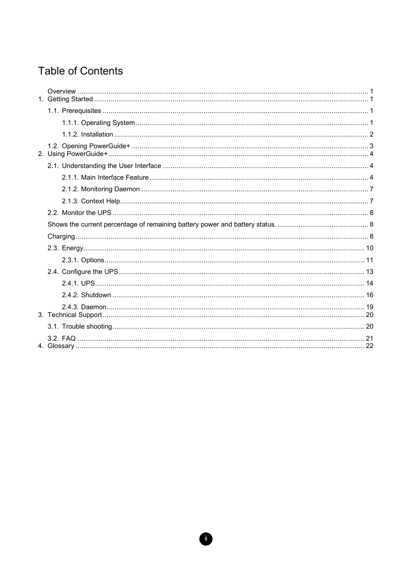# **Table of Contents**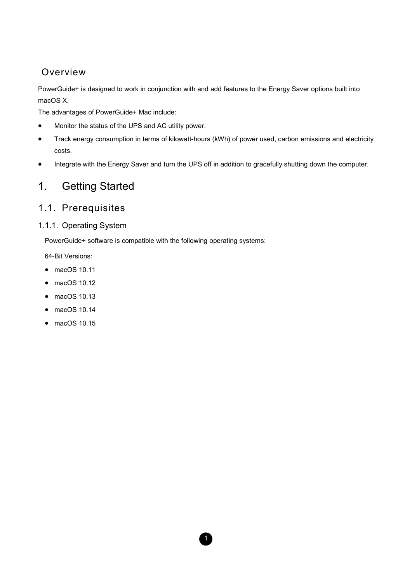## Overview

PowerGuide+ is designed to work in conjunction with and add features to the Energy Saver options built into macOS X.

The advantages of PowerGuide+ Mac include:

- Monitor the status of the UPS and AC utility power.
- Track energy consumption in terms of kilowatt-hours (kWh) of power used, carbon emissions and electricity costs.
- Integrate with the Energy Saver and turn the UPS off in addition to gracefully shutting down the computer.

1

# 1. Getting Started

### 1.1. Prerequisites

#### 1.1.1. Operating System

PowerGuide+ software is compatible with the following operating systems:

64-Bit Versions:

- macOS 10.11
- macOS 10.12
- macOS 10.13
- macOS 10.14
- macOS 10.15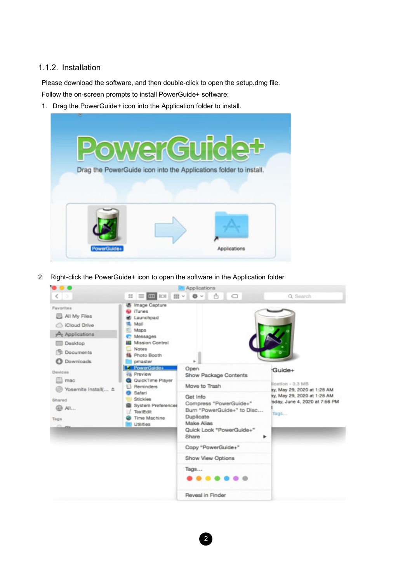#### 1.1.2. Installation

Please download the software, and then double-click to open the setup.dmg file.

Follow the on-screen prompts to install PowerGuide+ software:

1. Drag the PowerGuide+ icon into the Application folder to install.



2. Right-click the PowerGuide+ icon to open the software in the Application folder

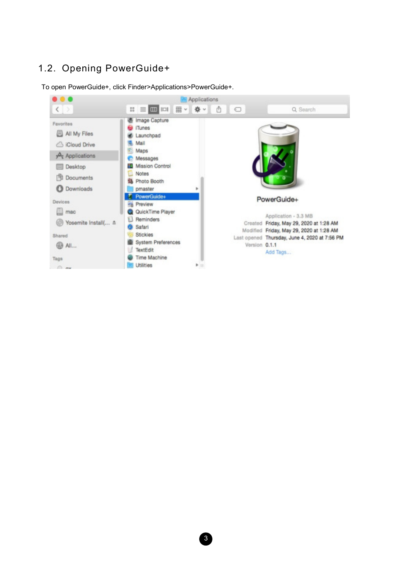# 1.2. Opening PowerGuide+

To open PowerGuide+, click Finder>Applications>PowerGuide+.

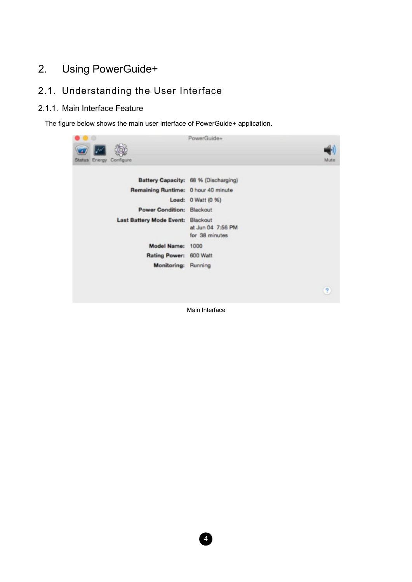# 2. Using PowerGuide+

# 2.1. Understanding the User Interface

#### 2.1.1. Main Interface Feature

The figure below shows the main user interface of PowerGuide+ application.

|                                      | PowerGuide+                          |
|--------------------------------------|--------------------------------------|
|                                      |                                      |
| Energy<br>Configure<br><b>Status</b> | Mute                                 |
|                                      |                                      |
|                                      | Battery Capacity: 68 % (Discharging) |
| Remaining Runtime: 0 hour 40 minute  |                                      |
|                                      | Load: 0 Watt (0 %)                   |
| Power Condition: Blackout            |                                      |
| <b>Last Battery Mode Event:</b>      | Blackout                             |
|                                      | at Jun 04 7:56 PM                    |
|                                      | for 38 minutes                       |
| <b>Model Name:</b>                   | 1000                                 |
| <b>Rating Power:</b>                 | 600 Watt                             |
| Monitoring: Running                  |                                      |
|                                      |                                      |
|                                      |                                      |
|                                      | 2                                    |
|                                      |                                      |

Main Interface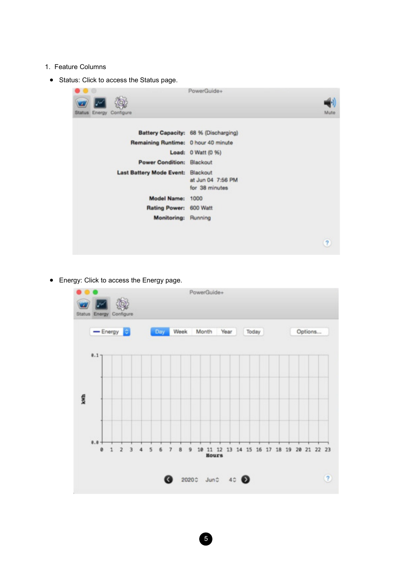- 1. Feature Columns
	- Status: Click to access the Status page.



Energy: Click to access the Energy page.

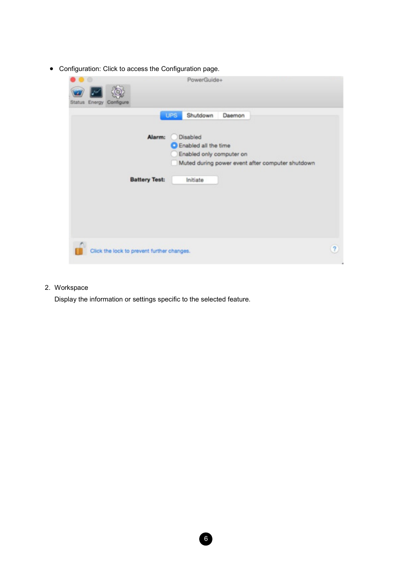Configuration: Click to access the Configuration page.

| Energy<br>Configure<br><b>Status</b>       | PowerGuide+                                                                                                                                                      |                |
|--------------------------------------------|------------------------------------------------------------------------------------------------------------------------------------------------------------------|----------------|
| Alarm:<br><b>Battery Test:</b>             | <b>UPS</b><br>Shutdown<br>Daemon<br>Disabled<br>Enabled all the time<br>Enabled only computer on<br>Muted during power event after computer shutdown<br>Initiate |                |
| Click the lock to prevent further changes. |                                                                                                                                                                  | $\overline{?}$ |

6

2. Workspace

Display the information or settings specific to the selected feature.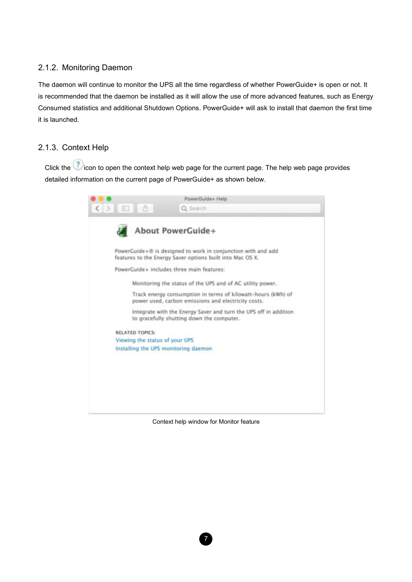#### 2.1.2. Monitoring Daemon

The daemon will continue to monitor the UPS all the time regardless of whether PowerGuide+ is open or not. It is recommended that the daemon be installed as it will allow the use of more advanced features, such as Energy Consumed statistics and additional Shutdown Options. PowerGuide+ will ask to install that daemon the first time it is launched.

#### 2.1.3. Context Help

Click the context help web page for the current page. The help web page provides detailed information on the current page of PowerGuide+ as shown below.



Context help window for Monitor feature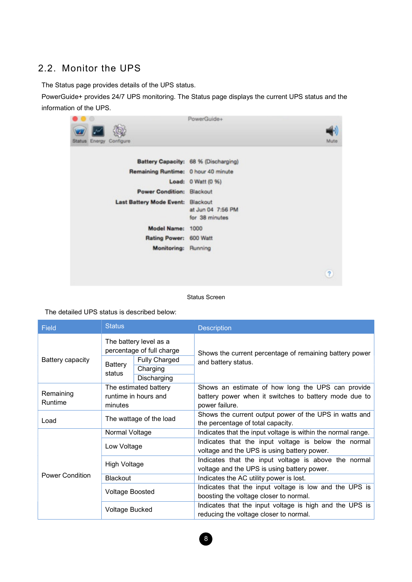### 2.2. Monitor the UPS

The Status page provides details of the UPS status.

PowerGuide+ provides 24/7 UPS monitoring. The Status page displays the current UPS status and the information of the UPS.

| e                                   | PowerGuide+                                     |
|-------------------------------------|-------------------------------------------------|
| Status Energy Configure             | Mute                                            |
|                                     | Battery Capacity: 68 % (Discharging)            |
| Remaining Runtime: 0 hour 40 minute |                                                 |
|                                     | Load: 0 Watt (0 %)                              |
| Power Condition: Blackout           |                                                 |
| <b>Last Battery Mode Event:</b>     | Blackout<br>at Jun 04 7:56 PM<br>for 38 minutes |
| Model Name: 1000                    |                                                 |
| <b>Rating Power:</b>                | 600 Watt                                        |
| Monitoring: Running                 |                                                 |
|                                     | $\overline{?}$                                  |

#### Status Screen

The detailed UPS status is described below:

| <b>Status</b><br><b>Field</b> |                                                     |                       | <b>Description</b>                                           |  |  |
|-------------------------------|-----------------------------------------------------|-----------------------|--------------------------------------------------------------|--|--|
|                               | The battery level as a<br>percentage of full charge |                       | Shows the current percentage of remaining battery power      |  |  |
| Battery capacity              | <b>Battery</b>                                      | <b>Fully Charged</b>  | and battery status.                                          |  |  |
|                               | status                                              | Charging              |                                                              |  |  |
|                               |                                                     | Discharging           |                                                              |  |  |
|                               |                                                     | The estimated battery | Shows an estimate of how long the UPS can provide            |  |  |
| Remaining                     | runtime in hours and                                |                       | battery power when it switches to battery mode due to        |  |  |
| Runtime                       | minutes                                             |                       | power failure.                                               |  |  |
|                               | The wattage of the load                             |                       | Shows the current output power of the UPS in watts and       |  |  |
| Load                          |                                                     |                       | the percentage of total capacity.                            |  |  |
|                               | Normal Voltage                                      |                       | Indicates that the input voltage is within the normal range. |  |  |
|                               | Low Voltage                                         |                       | Indicates that the input voltage is below the normal         |  |  |
|                               |                                                     |                       | voltage and the UPS is using battery power.                  |  |  |
|                               | <b>High Voltage</b>                                 |                       | Indicates that the input voltage is above the normal         |  |  |
|                               |                                                     |                       | voltage and the UPS is using battery power.                  |  |  |
| <b>Power Condition</b>        | <b>Blackout</b>                                     |                       | Indicates the AC utility power is lost.                      |  |  |
|                               | <b>Voltage Boosted</b>                              |                       | Indicates that the input voltage is low and the UPS is       |  |  |
|                               |                                                     |                       | boosting the voltage closer to normal.                       |  |  |
|                               | <b>Voltage Bucked</b>                               |                       | Indicates that the input voltage is high and the UPS is      |  |  |
|                               |                                                     |                       | reducing the voltage closer to normal.                       |  |  |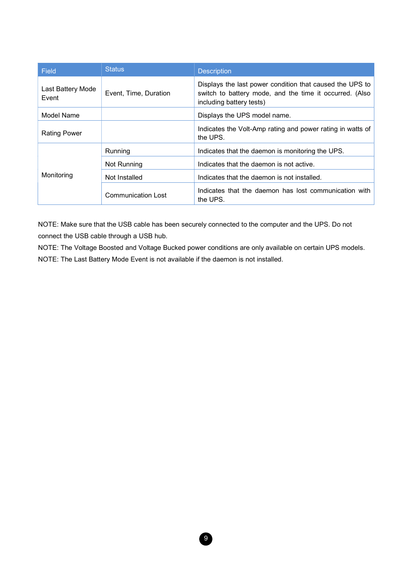| Field                      | <b>Status</b>             | <b>Description</b>                                                                                                                              |  |
|----------------------------|---------------------------|-------------------------------------------------------------------------------------------------------------------------------------------------|--|
| Last Battery Mode<br>Event | Event, Time, Duration     | Displays the last power condition that caused the UPS to<br>switch to battery mode, and the time it occurred. (Also<br>including battery tests) |  |
| Model Name                 |                           | Displays the UPS model name.                                                                                                                    |  |
| <b>Rating Power</b>        |                           | Indicates the Volt-Amp rating and power rating in watts of<br>the UPS.                                                                          |  |
|                            | Running                   | Indicates that the daemon is monitoring the UPS.                                                                                                |  |
|                            | Not Running               | Indicates that the daemon is not active.                                                                                                        |  |
| Monitoring                 | Not Installed             | Indicates that the daemon is not installed.                                                                                                     |  |
|                            | <b>Communication Lost</b> | Indicates that the daemon has lost communication with<br>the UPS.                                                                               |  |

NOTE: Make sure that the USB cable has been securely connected to the computer and the UPS. Do not connect the USB cable through a USB hub.

NOTE: The Voltage Boosted and Voltage Bucked power conditions are only available on certain UPS models. NOTE: The Last Battery Mode Event is not available if the daemon is not installed.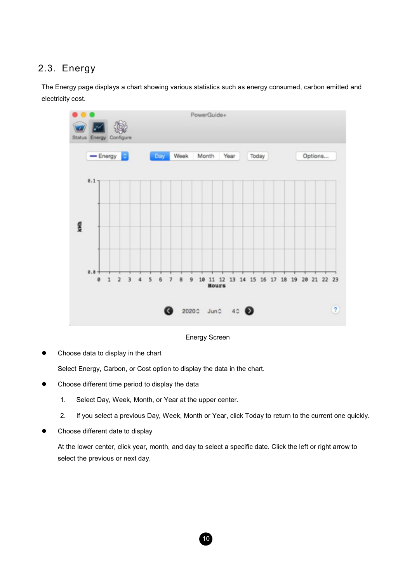### 2.3. Energy

The Energy page displays a chart showing various statistics such as energy consumed, carbon emitted and electricity cost.



Energy Screen

• Choose data to display in the chart

Select Energy, Carbon, or Cost option to display the data in the chart.

- Choose different time period to display the data
	- 1. Select Day, Week, Month, or Year at the upper center.
	- 2. If you select a previous Day, Week, Month or Year, click Today to return to the current one quickly.
- Choose different date to display

At the lower center, click year, month, and day to select a specific date. Click the left or right arrow to select the previous or next day.

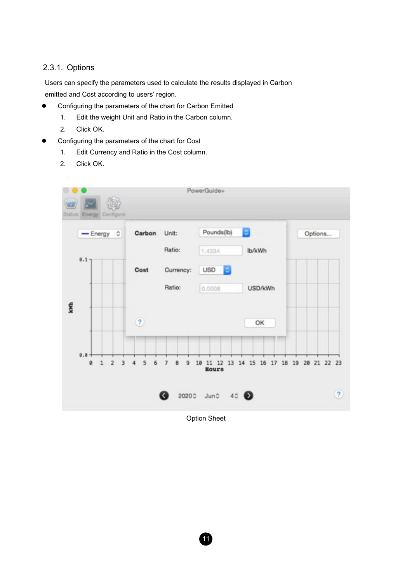#### 2.3.1. Options

Users can specify the parameters used to calculate the results displayed in Carbon emitted and Cost according to users' region.

- Configuring the parameters of the chart for Carbon Emitted
	- 1. Edit the weight Unit and Ratio in the Carbon column.
	- 2. Click OK.
- Configuring the parameters of the chart for Cost
	- 1. Edit Currency and Ratio in the Cost column.
	- 2. Click OK.



Option Sheet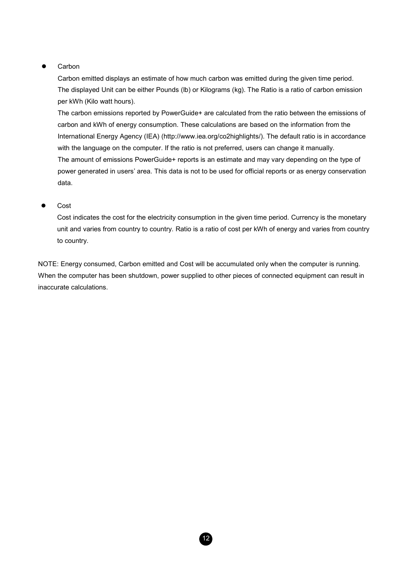#### **Carbon**

Carbon emitted displays an estimate of how much carbon was emitted during the given time period. The displayed Unit can be either Pounds (lb) or Kilograms (kg). The Ratio is a ratio of carbon emission per kWh (Kilo watt hours).

The carbon emissions reported by PowerGuide+ are calculated from the ratio between the emissions of carbon and kWh of energy consumption. These calculations are based on the information from the International Energy Agency (IEA) (http://www.iea.org/co2highlights/). The default ratio is in accordance with the language on the computer. If the ratio is not preferred, users can change it manually. The amount of emissions PowerGuide+ reports is an estimate and may vary depending on the type of power generated in users' area. This data is not to be used for official reports or as energy conservation data.

#### Cost

Cost indicates the cost for the electricity consumption in the given time period. Currency is the monetary unit and varies from country to country. Ratio is a ratio of cost per kWh of energy and varies from country to country.

NOTE: Energy consumed, Carbon emitted and Cost will be accumulated only when the computer is running. When the computer has been shutdown, power supplied to other pieces of connected equipment can result in inaccurate calculations.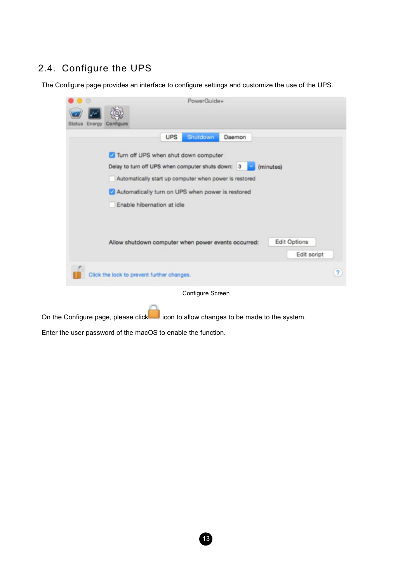# 2.4. Configure the UPS

The Configure page provides an interface to configure settings and customize the use of the UPS.

| Energy Configure<br>Status.                |                                                                                                                                                                                                                                       |                             |
|--------------------------------------------|---------------------------------------------------------------------------------------------------------------------------------------------------------------------------------------------------------------------------------------|-----------------------------|
|                                            | <b>UPS</b><br>Shutdown<br>Daemon                                                                                                                                                                                                      |                             |
|                                            | Turn off UPS when shut down computer<br>Delay to turn off UPS when computer shuts down: 3<br>Automatically start up computer when power is restored<br>Automatically turn on UPS when power is restored<br>Enable hibernation at idle | (minutes)                   |
|                                            | Allow shutdown computer when power events occurred:                                                                                                                                                                                   | Edit Options<br>Edit script |
| Click the lock to prevent further changes. |                                                                                                                                                                                                                                       | ?                           |
|                                            | Configure Screen                                                                                                                                                                                                                      |                             |

On the Configure page, please click icon to allow changes to be made to the system.

Enter the user password of the macOS to enable the function.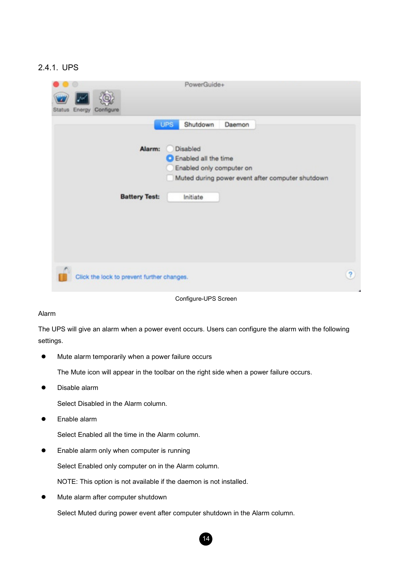#### 2.4.1. UPS

| Energy<br>Configure<br>Status.             | PowerGuide+                                                                                                                                          |                         |
|--------------------------------------------|------------------------------------------------------------------------------------------------------------------------------------------------------|-------------------------|
| Alarm:                                     | <b>UPS</b><br>Shutdown<br>Daemon<br>Disabled<br>Enabled all the time<br>Enabled only computer on<br>Muted during power event after computer shutdown |                         |
| <b>Battery Test:</b>                       | Initiate                                                                                                                                             |                         |
| Click the lock to prevent further changes. |                                                                                                                                                      | $\overline{\mathbf{r}}$ |

Configure-UPS Screen

#### Alarm

The UPS will give an alarm when a power event occurs. Users can configure the alarm with the following settings.

Mute alarm temporarily when a power failure occurs

The Mute icon will appear in the toolbar on the right side when a power failure occurs.

Disable alarm

Select Disabled in the Alarm column.

Enable alarm

Select Enabled all the time in the Alarm column.

Enable alarm only when computer is running

Select Enabled only computer on in the Alarm column.

NOTE: This option is not available if the daemon is not installed.

Mute alarm after computer shutdown

Select Muted during power event after computer shutdown in the Alarm column.

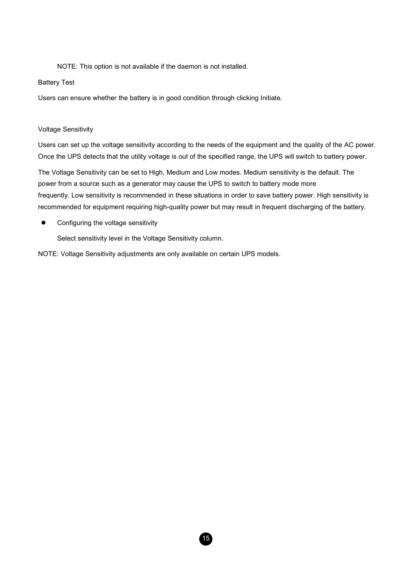NOTE: This option is not available if the daemon is not installed.

#### Battery Test

Users can ensure whether the battery is in good condition through clicking Initiate.

#### Voltage Sensitivity

Users can set up the voltage sensitivity according to the needs of the equipment and the quality of the AC power. Once the UPS detects that the utility voltage is out of the specified range, the UPS will switch to battery power.

The Voltage Sensitivity can be set to High, Medium and Low modes. Medium sensitivity is the default. The power from a source such as a generator may cause the UPS to switch to battery mode more frequently. Low sensitivity is recommended in these situations in order to save battery power. High sensitivity is recommended for equipment requiring high-quality power but may result in frequent discharging of the battery.

15

Configuring the voltage sensitivity

Select sensitivity level in the Voltage Sensitivity column.

NOTE: Voltage Sensitivity adjustments are only available on certain UPS models.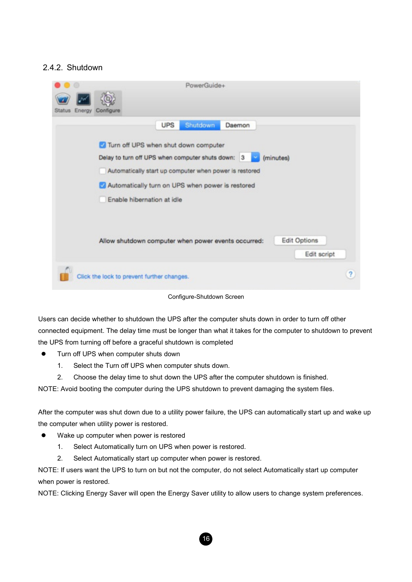### 2.4.2. Shutdown

| Energy<br><b>Status</b> | PowerGuide+<br>Configure                                                                                                                                                                                                                                |                         |
|-------------------------|---------------------------------------------------------------------------------------------------------------------------------------------------------------------------------------------------------------------------------------------------------|-------------------------|
|                         | <b>UPS</b><br>Shutdown<br>Daemon                                                                                                                                                                                                                        |                         |
|                         | Turn off UPS when shut down computer<br>Delay to turn off UPS when computer shuts down: 3<br>(minutes)<br>×<br>Automatically start up computer when power is restored<br>Automatically turn on UPS when power is restored<br>Enable hibernation at idle |                         |
|                         | <b>Edit Options</b><br>Allow shutdown computer when power events occurred:<br>Edit script                                                                                                                                                               |                         |
|                         | Click the lock to prevent further changes.                                                                                                                                                                                                              | $\overline{\mathbf{r}}$ |

Configure-Shutdown Screen

Users can decide whether to shutdown the UPS after the computer shuts down in order to turn off other connected equipment. The delay time must be longer than what it takes for the computer to shutdown to prevent the UPS from turning off before a graceful shutdown is completed

- **•** Turn off UPS when computer shuts down
	- 1. Select the Turn off UPS when computer shuts down.
	- 2. Choose the delay time to shut down the UPS after the computer shutdown is finished.

NOTE: Avoid booting the computer during the UPS shutdown to prevent damaging the system files.

After the computer was shut down due to a utility power failure, the UPS can automatically start up and wake up the computer when utility power is restored.

- Wake up computer when power is restored
	- 1. Select Automatically turn on UPS when power is restored.
	- 2. Select Automatically start up computer when power is restored.

NOTE: If users want the UPS to turn on but not the computer, do not select Automatically start up computer when power is restored.

NOTE: Clicking Energy Saver will open the Energy Saver utility to allow users to change system preferences.

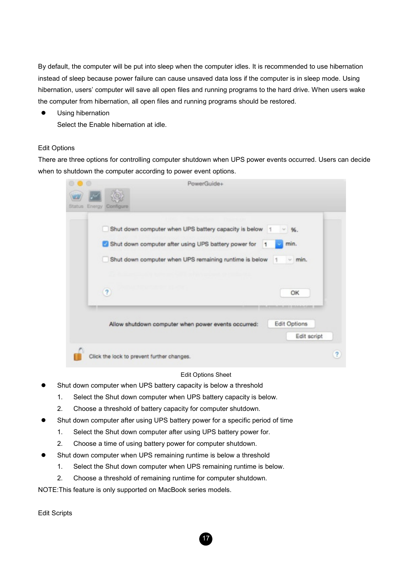By default, the computer will be put into sleep when the computer idles. It is recommended to use hibernation instead of sleep because power failure can cause unsaved data loss if the computer is in sleep mode. Using hibernation, users' computer will save all open files and running programs to the hard drive. When users wake the computer from hibernation, all open files and running programs should be restored.

**•** Using hibernation Select the Enable hibernation at idle.

#### Edit Options

There are three options for controlling computer shutdown when UPS power events occurred. Users can decide when to shutdown the computer according to power event options.

| PowerGuide+<br>Status Energy Configure                                                                                                                                                                                             |   |
|------------------------------------------------------------------------------------------------------------------------------------------------------------------------------------------------------------------------------------|---|
| Shut down computer when UPS battery capacity is below 1<br>96.<br>Shut down computer after using UPS battery power for<br>min.<br>$\mathbf{1}$<br>Shut down computer when UPS remaining runtime is below<br>$~<$ min.<br>$\vert$ 1 |   |
| $\overline{\mathcal{L}}$<br>OK                                                                                                                                                                                                     |   |
| Edit Options<br>Allow shutdown computer when power events occurred:<br>Edit script                                                                                                                                                 |   |
| Click the lock to prevent further changes.                                                                                                                                                                                         | 2 |

#### Edit Options Sheet

- Shut down computer when UPS battery capacity is below a threshold
	- 1. Select the Shut down computer when UPS battery capacity is below.
	- 2. Choose a threshold of battery capacity for computer shutdown.
- Shut down computer after using UPS battery power for a specific period of time
	- 1. Select the Shut down computer after using UPS battery power for.
	- 2. Choose a time of using battery power for computer shutdown.
- Shut down computer when UPS remaining runtime is below a threshold
	- 1. Select the Shut down computer when UPS remaining runtime is below.
	- 2. Choose a threshold of remaining runtime for computer shutdown.

NOTE:This feature is only supported on MacBook series models.

Edit Scripts

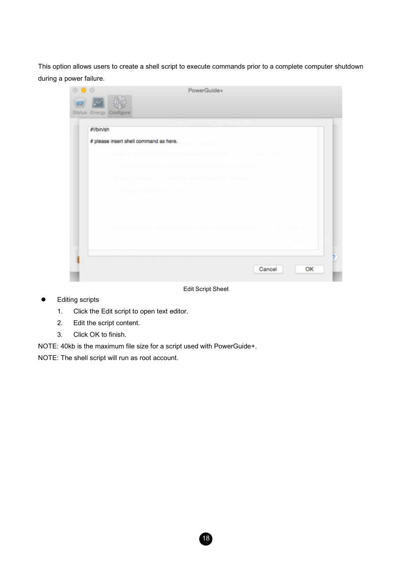This option allows users to create a shell script to execute commands prior to a complete computer shutdown during a power failure.

| Status Energy Configure |                                                |                                    |        |          |
|-------------------------|------------------------------------------------|------------------------------------|--------|----------|
| #Min/sh                 |                                                |                                    |        |          |
|                         |                                                |                                    |        |          |
|                         | # please insert shell command as here.         |                                    |        |          |
|                         | Dental and the Charles of Charles              |                                    |        |          |
|                         | the contract of the support of the contract of |                                    |        |          |
|                         |                                                |                                    |        |          |
|                         |                                                | Si Alikuwa kutoka Marejeo katika M |        |          |
|                         | <b>COMPANY In the Community of Company</b>     |                                    |        |          |
|                         |                                                |                                    |        |          |
|                         |                                                |                                    |        |          |
|                         |                                                |                                    |        |          |
|                         | a shekarar 1995 - Ang Pangalang                |                                    |        | 나를 만들었다. |
|                         |                                                |                                    |        |          |
|                         |                                                |                                    |        |          |
|                         |                                                |                                    |        |          |
|                         |                                                |                                    | Cancel | OK       |

Edit Script Sheet

18

- **•** Editing scripts
	- 1. Click the Edit script to open text editor.
	- 2. Edit the script content.
	- 3. Click OK to finish.

NOTE: 40kb is the maximum file size for a script used with PowerGuide+.

NOTE: The shell script will run as root account.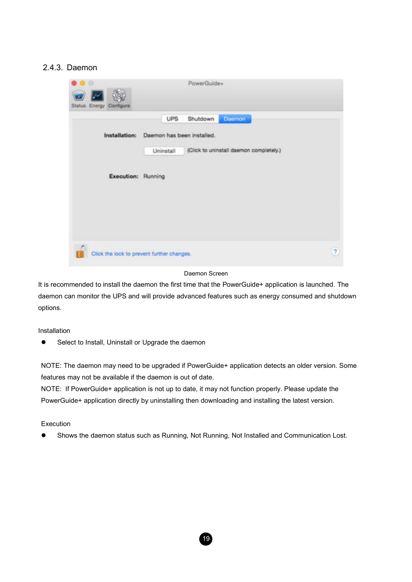#### 2.4.3. Daemon



#### Daemon Screen

It is recommended to install the daemon the first time that the PowerGuide+ application is launched. The daemon can monitor the UPS and will provide advanced features such as energy consumed and shutdown options.

Installation

Select to Install, Uninstall or Upgrade the daemon

NOTE: The daemon may need to be upgraded if PowerGuide+ application detects an older version. Some features may not be available if the daemon is out of date.

NOTE: If PowerGuide+ application is not up to date, it may not function properly. Please update the PowerGuide+ application directly by uninstalling then downloading and installing the latest version.

#### **Execution**

Shows the daemon status such as Running, Not Running, Not Installed and Communication Lost.

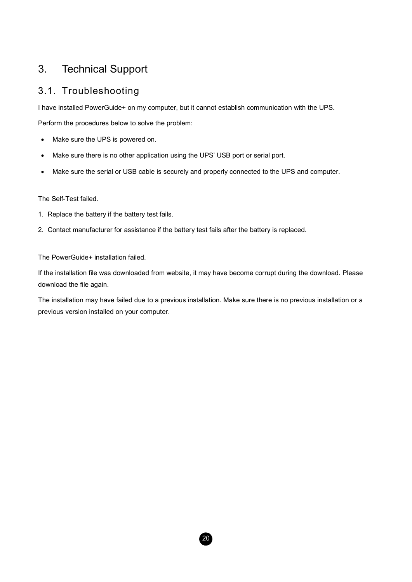# 3. Technical Support

### 3.1. Troubleshooting

I have installed PowerGuide+ on my computer, but it cannot establish communication with the UPS.

Perform the procedures below to solve the problem:

- Make sure the UPS is powered on.
- Make sure there is no other application using the UPS' USB port or serial port.
- Make sure the serial or USB cable is securely and properly connected to the UPS and computer.

The Self-Test failed.

- 1. Replace the battery if the battery test fails.
- 2. Contact manufacturer for assistance if the battery test fails after the battery is replaced.

The PowerGuide+ installation failed.

If the installation file was downloaded from website, it may have become corrupt during the download. Please download the file again.

The installation may have failed due to a previous installation. Make sure there is no previous installation or a previous version installed on your computer.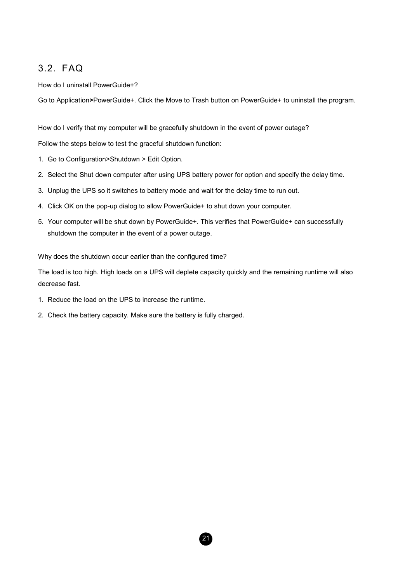### 3.2. FAQ

How do I uninstall PowerGuide+?

Go to Application>PowerGuide+. Click the Move to Trash button on PowerGuide+ to uninstall the program.

How do I verify that my computer will be gracefully shutdown in the event of power outage?

Follow the steps below to test the graceful shutdown function:

- 1. Go to Configuration>Shutdown > Edit Option.
- 2. Select the Shut down computer after using UPS battery power for option and specify the delay time.
- 3. Unplug the UPS so it switches to battery mode and wait for the delay time to run out.
- 4. Click OK on the pop-up dialog to allow PowerGuide+ to shut down your computer.
- 5. Your computer will be shut down by PowerGuide+. This verifies that PowerGuide+ can successfully shutdown the computer in the event of a power outage.

Why does the shutdown occur earlier than the configured time?

The load is too high. High loads on a UPS will deplete capacity quickly and the remaining runtime will also decrease fast.

- 1. Reduce the load on the UPS to increase the runtime.
- 2. Check the battery capacity. Make sure the battery is fully charged.